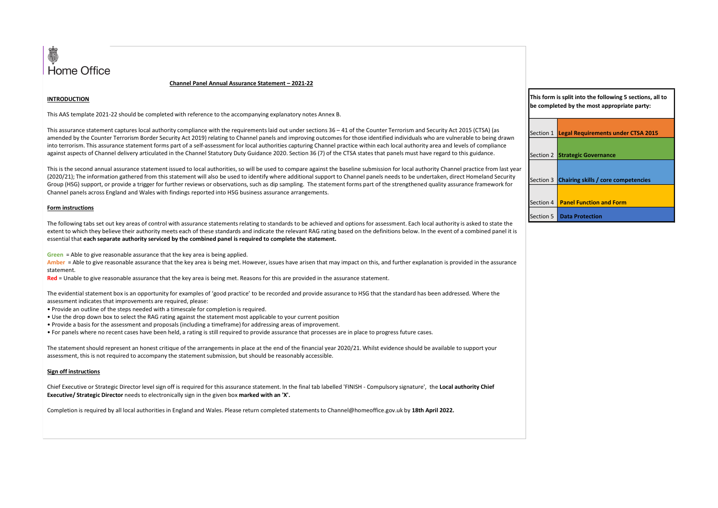

### INTRODUCTION

This AAS template 2021-22 should be completed with reference to the accompanying explanatory notes Annex B.

Channel Panel Annual Assurance Statement – 2021-22<br>
d with reference to the accompanying explanatory notes Annex B.<br>
ity compliance with the requirements laid out under sections 36–41 of the Counter Terrorism and Security This AS template and be completed with reference to the accompanying explanatory notes Ames 8.<br>This AS template 2021-22 should be completed with reference to the accompanying explanatory notes Ames 8.<br>In the Sasurance stat amended by the Counter Terrorism Border Security Act 2019) relating to Channel panels and improving outcomes for those identified individuals who are vulnerable to being drawn against aspects of Channel delivery articulated in the Channel Statutory Duty Guidance 2020. Section 36 (7) of the CTSA states that panels must have regard to this guidance.

**into the control of the Control of Assume Channel Assume Statement - 2021-22**<br>ITHis AS tampide 2021-22 should be completed with reference to the accompaning explinatory notes Amex B.<br>This assurance statement capture is be This is the second annual assurance statement issued to local authorities, so will be used to compare against the baseline submission for local authority Channel practice from last year (2020/21); The information gathered Group (HSG) support, or provide a trigger for further reviews or observations, such as dip sampling. The statement forms part of the strengthened quality assurance framework for Channel panels across England and Wales with findings reported into HSG business assurance arrangements. **Channel Panel Annual Assurance Statement - 2021-22**<br> **ENSAAS template 2021-22** should be completed with reference to the accompanying explanatory notes Annex B.<br>
This assurance statement captures local authority complianc **Home Office**<br> **Home Office**<br>
This assurance assurance that interests with reference to the accompanying explanation vinde as Aristother Termina and Seculy Ari 2013 (TSV) is<br>
This assurance tradematical product with refere **HOMPE Office**<br> **RED ENDIREMATE ANA SEE ART AND A SEE ART AND A SEE ART AND A SEE ART AND A SEE ART AND A SEE ART AND A SECURITE<br>
THE ASSURANCE ART AND A SECURITE AND A SECURITE AND A SECURITE THE SECURITE THE CALCULATE TH INTRODUCTION**<br>• This AAS template 2021-22 should be completed with reference to the accompanying explanatory notes Annex B.<br>
This assurance statement raptures local authority complane with the requirements laid out under This AAS template 2021-22 should be completed with reference to the accompanying explanatory notes Amex B.<br>
This assurance statement captures local authority compliance with the requirements laid out under sections 36–41 o Chief Is the chief simulate although this chief executive allows unit of double the scaling unit of chief is required for the final tab labelled the chief is required to the final tab labelled in the final tab labelled for

#### Form instructions

The following tabs set out key areas of control with assurance statements relating to standards to be achieved and options for assessment. Each local authority is asked to state the extent to which they believe their authority meets each of these standards and indicate the relevant RAG rating based on the definitions below. In the event of a combined panel it is essential that each separate authority serviced by the combined panel is required to complete the statement.

statement.

The evidential statement box is an opportunity for examples of 'good practice' to be recorded and provide assurance to HSG that the standard has been addressed. Where the assessment indicates that improvements are required, please:

- 
- 
- Provide a basis for the assessment and proposals (including a timeframe) for addressing areas of improvement.
- For panels where no recent cases have been held, a rating is still required to provide assurance that processes are in place to progress future cases.

The statement should represent an honest critique of the arrangements in place at the end of the financial year 2020/21. Whilst evidence should be available to support your assessment, this is not required to accompany the statement submission, but should be reasonably accessible.

#### Sign off instructions

Executive/ Strategic Director needs to electronically sign in the given box marked with an 'X'.

Completion is required by all local authorities in England and Wales. Please return completed statements to Channel@homeoffice.gov.uk by 18th April 2022.

| This form is split into the following 5 sections, all to |  |
|----------------------------------------------------------|--|
| be completed by the most appropriate party:              |  |

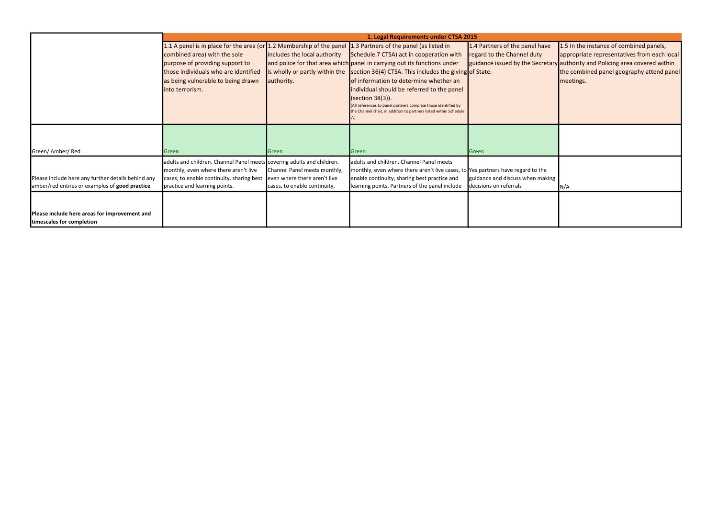| ave         | 1.5 In the instance of combined panels,<br>appropriate representatives from each local<br>retary authority and Policing area covered within<br>the combined panel geography attend panel<br>meetings. |
|-------------|-------------------------------------------------------------------------------------------------------------------------------------------------------------------------------------------------------|
|             |                                                                                                                                                                                                       |
| ١ė<br>aking | N/A                                                                                                                                                                                                   |
|             |                                                                                                                                                                                                       |

|                                                                                                      |                                                                                                                                                                                               |                                                                                              | 1. Legal Requirements under CTSA 2015                                                                                                                                                                                                                                                                                                                                                                                                                                                                                                              |                                                                                                       |                                          |
|------------------------------------------------------------------------------------------------------|-----------------------------------------------------------------------------------------------------------------------------------------------------------------------------------------------|----------------------------------------------------------------------------------------------|----------------------------------------------------------------------------------------------------------------------------------------------------------------------------------------------------------------------------------------------------------------------------------------------------------------------------------------------------------------------------------------------------------------------------------------------------------------------------------------------------------------------------------------------------|-------------------------------------------------------------------------------------------------------|------------------------------------------|
|                                                                                                      | combined area) with the sole<br>purpose of providing support to<br>those individuals who are identified<br>as being vulnerable to being drawn<br>linto terrorism.                             | includes the local authority<br>is wholly or partly within the<br>authority.                 | 1.1 A panel is in place for the area (or $1.2$ Membership of the panel 1.3 Partners of the panel (as listed in<br>Schedule 7 CTSA) act in cooperation with<br>and police for that area which panel in carrying out its functions under<br>section 36(4) CTSA. This includes the giving of State.<br>of information to determine whether an<br>individual should be referred to the panel<br>(section 38(3)).<br>All references to panel partners comprise those identified by<br>the Channel chair, in addition to partners listed within Schedule | 1.4 Partners of the panel have<br>regard to the Channel duty<br>guidance issued by the Secretary auth | 1.5<br><b>a</b> pp<br><b>Ithe</b><br>mee |
| Green/ Amber/ Red                                                                                    | Green                                                                                                                                                                                         | Green                                                                                        | Green                                                                                                                                                                                                                                                                                                                                                                                                                                                                                                                                              | Green                                                                                                 |                                          |
| Please include here any further details behind any<br>amber/red entries or examples of good practice | adults and children. Channel Panel meets covering adults and children.<br>monthly, even where there aren't live<br>cases, to enable continuity, sharing best<br>practice and learning points. | Channel Panel meets monthly,<br>even where there aren't live<br>cases, to enable continuity, | adults and children. Channel Panel meets<br>monthly, even where there aren't live cases, to Yes partners have regard to the<br>enable continuity, sharing best practice and<br>learning points. Partners of the panel include                                                                                                                                                                                                                                                                                                                      | guidance and discuss when making<br>decisions on referrals                                            | N/A                                      |
| Please include here areas for improvement and<br>timescales for completion                           |                                                                                                                                                                                               |                                                                                              |                                                                                                                                                                                                                                                                                                                                                                                                                                                                                                                                                    |                                                                                                       |                                          |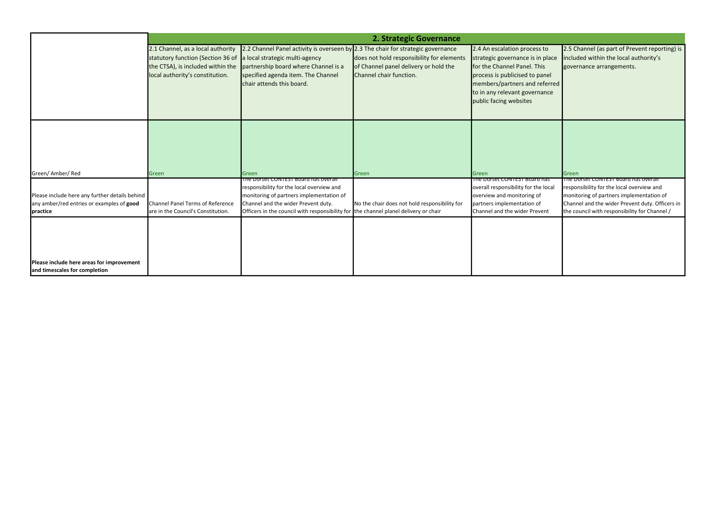|                                                                            |                                                                      |                                                                                                         | 2. Strategic Governance                                          |                                                                                                                                                           |                   |
|----------------------------------------------------------------------------|----------------------------------------------------------------------|---------------------------------------------------------------------------------------------------------|------------------------------------------------------------------|-----------------------------------------------------------------------------------------------------------------------------------------------------------|-------------------|
|                                                                            | 2.1 Channel, as a local authority                                    | 2.2 Channel Panel activity is overseen by 2.3 The chair for strategic governance                        |                                                                  | 2.4 An escalation process to                                                                                                                              | 2.5 <sub>ch</sub> |
|                                                                            | statutory function (Section 36 of                                    | a local strategic multi-agency                                                                          | does not hold responsibility for elements                        | strategic governance is in place                                                                                                                          | includ            |
|                                                                            | the CTSA), is included within the<br>local authority's constitution. | partnership board where Channel is a<br>specified agenda item. The Channel<br>chair attends this board. | of Channel panel delivery or hold the<br>Channel chair function. | for the Channel Panel. This<br>process is publicised to panel<br>members/partners and referred<br>to in any relevant governance<br>public facing websites | gover             |
|                                                                            |                                                                      |                                                                                                         |                                                                  |                                                                                                                                                           |                   |
| Green/Amber/Red                                                            | Green                                                                | Green<br>The Dorset CONTEST Board has overall                                                           | Green                                                            | Green<br>The Dorset CONTEST Board has                                                                                                                     | Green<br>The Do   |
|                                                                            |                                                                      | responsibility for the local overview and                                                               |                                                                  | overall responsibility for the local                                                                                                                      | respor            |
| Please include here any further details behind                             |                                                                      | monitoring of partners implementation of                                                                |                                                                  | overview and monitoring of                                                                                                                                | monite            |
| any amber/red entries or examples of good                                  | Channel Panel Terms of Reference                                     | Channel and the wider Prevent duty.                                                                     | No the chair does not hold responsibility for                    | partners implementation of                                                                                                                                | Chann             |
| <i>practice</i>                                                            | are in the Council's Constitution.                                   | Officers in the council with responsibility for the channel planel delivery or chair                    |                                                                  | Channel and the wider Prevent                                                                                                                             | the co            |
| Please include here areas for improvement<br>and timescales for completion |                                                                      |                                                                                                         |                                                                  |                                                                                                                                                           |                   |

| to<br>place<br>S<br>nel<br>ferred<br>ince | 2.5 Channel (as part of Prevent reporting) is<br>included within the local authority's<br>governance arrangements.                                                                                                                |
|-------------------------------------------|-----------------------------------------------------------------------------------------------------------------------------------------------------------------------------------------------------------------------------------|
|                                           | Green                                                                                                                                                                                                                             |
| าลร<br>local<br>₽nt                       | The Dorset CONTEST Board has overall<br>responsibility for the local overview and<br>monitoring of partners implementation of<br>Channel and the wider Prevent duty. Officers in<br>the council with responsibility for Channel / |
|                                           |                                                                                                                                                                                                                                   |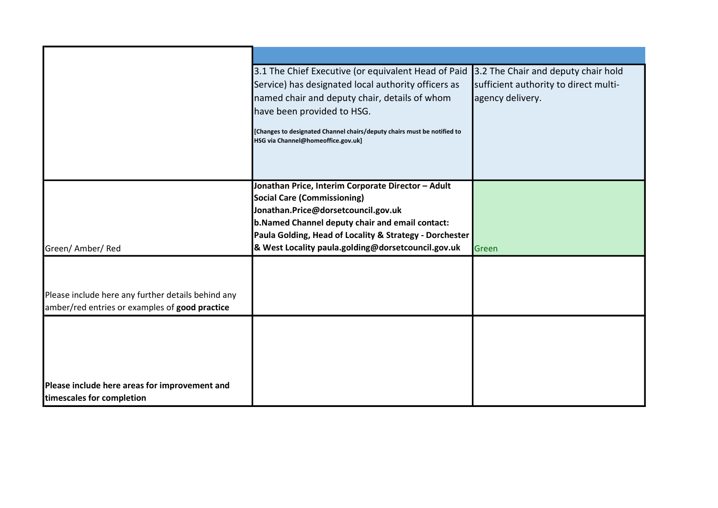|                                                    | 3.1 The Chief Executive (or equivalent Head of Paid 3.2 The Chair and deputy chair hold                       |                                       |
|----------------------------------------------------|---------------------------------------------------------------------------------------------------------------|---------------------------------------|
|                                                    | Service) has designated local authority officers as                                                           | sufficient authority to direct multi- |
|                                                    | named chair and deputy chair, details of whom                                                                 | agency delivery.                      |
|                                                    | have been provided to HSG.                                                                                    |                                       |
|                                                    |                                                                                                               |                                       |
|                                                    | [Changes to designated Channel chairs/deputy chairs must be notified to<br>HSG via Channel@homeoffice.gov.uk] |                                       |
|                                                    |                                                                                                               |                                       |
|                                                    |                                                                                                               |                                       |
|                                                    |                                                                                                               |                                       |
|                                                    | Jonathan Price, Interim Corporate Director - Adult                                                            |                                       |
|                                                    | <b>Social Care (Commissioning)</b>                                                                            |                                       |
|                                                    | Jonathan.Price@dorsetcouncil.gov.uk                                                                           |                                       |
|                                                    | b. Named Channel deputy chair and email contact:                                                              |                                       |
|                                                    | Paula Golding, Head of Locality & Strategy - Dorchester                                                       |                                       |
| Green/ Amber/ Red                                  | & West Locality paula.golding@dorsetcouncil.gov.uk                                                            | Green                                 |
|                                                    |                                                                                                               |                                       |
|                                                    |                                                                                                               |                                       |
| Please include here any further details behind any |                                                                                                               |                                       |
| amber/red entries or examples of good practice     |                                                                                                               |                                       |
|                                                    |                                                                                                               |                                       |
|                                                    |                                                                                                               |                                       |
|                                                    |                                                                                                               |                                       |
|                                                    |                                                                                                               |                                       |
|                                                    |                                                                                                               |                                       |
| Please include here areas for improvement and      |                                                                                                               |                                       |
| timescales for completion                          |                                                                                                               |                                       |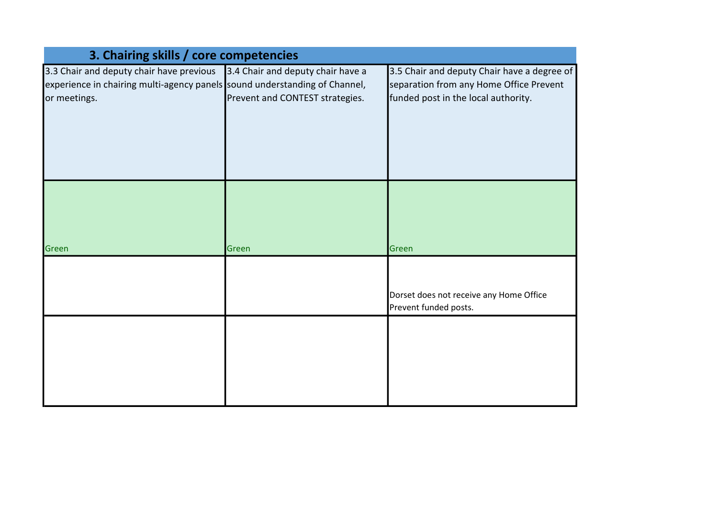| 3. Chairing skills / core competencies                                     |                                   |                                             |
|----------------------------------------------------------------------------|-----------------------------------|---------------------------------------------|
| 3.3 Chair and deputy chair have previous                                   | 3.4 Chair and deputy chair have a | 3.5 Chair and deputy Chair have a degree of |
| experience in chairing multi-agency panels sound understanding of Channel, |                                   | separation from any Home Office Prevent     |
| or meetings.                                                               | Prevent and CONTEST strategies.   | funded post in the local authority.         |
|                                                                            |                                   |                                             |
|                                                                            |                                   |                                             |
|                                                                            |                                   |                                             |
|                                                                            |                                   |                                             |
|                                                                            |                                   |                                             |
|                                                                            |                                   |                                             |
|                                                                            |                                   |                                             |
|                                                                            |                                   |                                             |
|                                                                            |                                   |                                             |
| Green                                                                      | Green                             | Green                                       |
|                                                                            |                                   |                                             |
|                                                                            |                                   |                                             |
|                                                                            |                                   | Dorset does not receive any Home Office     |
|                                                                            |                                   | Prevent funded posts.                       |
|                                                                            |                                   |                                             |
|                                                                            |                                   |                                             |
|                                                                            |                                   |                                             |
|                                                                            |                                   |                                             |
|                                                                            |                                   |                                             |
|                                                                            |                                   |                                             |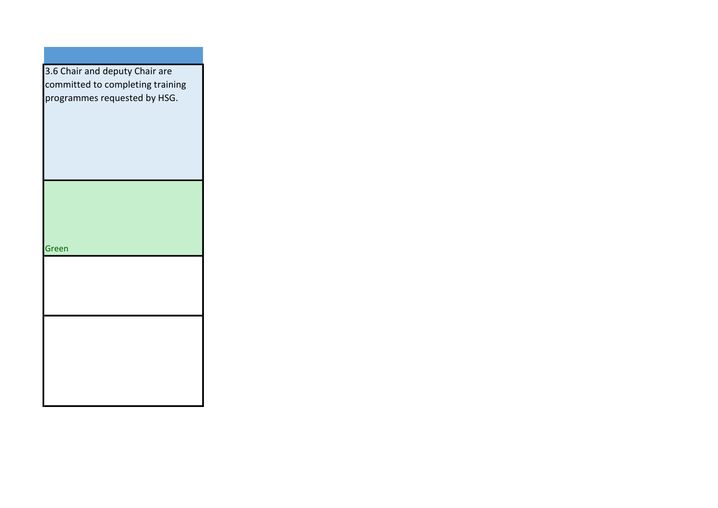| 3.6 Chair and deputy Chair are   |
|----------------------------------|
| committed to completing training |
|                                  |
| programmes requested by HSG.     |
|                                  |
|                                  |
|                                  |
|                                  |
|                                  |
|                                  |
|                                  |
|                                  |
|                                  |
|                                  |
|                                  |
|                                  |
|                                  |
| Green                            |
|                                  |
|                                  |
|                                  |
|                                  |
|                                  |
|                                  |
|                                  |
|                                  |
|                                  |
|                                  |
|                                  |
|                                  |
|                                  |
|                                  |
|                                  |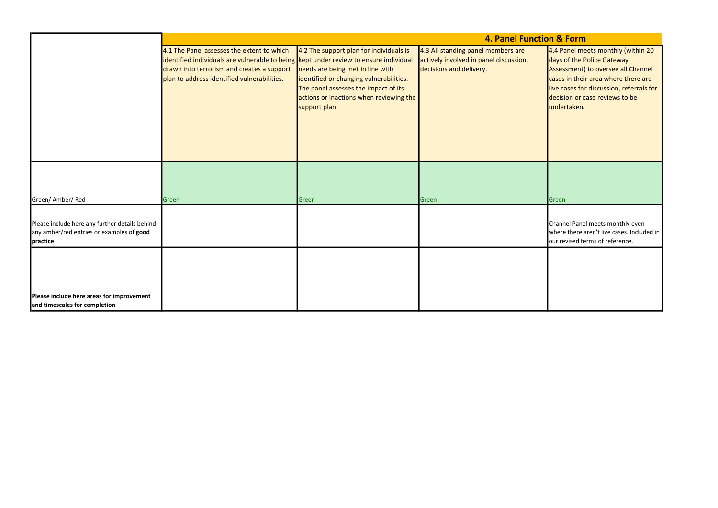4.4 Panel meets monthly (within 20 days of the Police Gateway Assessment) to oversee all Channel cases in their area where there are live cases for discussion, referrals for decision or case reviews to be undertaken.

|                                                                                                         |                                                                                                                                                                                                                                  |                                                                                                                                                                                                                            | 4. Panel Function &                                                                                     |                                                                   |
|---------------------------------------------------------------------------------------------------------|----------------------------------------------------------------------------------------------------------------------------------------------------------------------------------------------------------------------------------|----------------------------------------------------------------------------------------------------------------------------------------------------------------------------------------------------------------------------|---------------------------------------------------------------------------------------------------------|-------------------------------------------------------------------|
|                                                                                                         | 4.1 The Panel assesses the extent to which<br>identified individuals are vulnerable to being kept under review to ensure individual<br>drawn into terrorism and creates a support<br>plan to address identified vulnerabilities. | 4.2 The support plan for individuals is<br>needs are being met in line with<br>identified or changing vulnerabilities.<br>The panel assesses the impact of its<br>actions or inactions when reviewing the<br>support plan. | 4.3 All standing panel members are<br>actively involved in panel discussion,<br>decisions and delivery. | 4.4 Pa<br>days o<br>Asses:<br>cases<br>live ca<br>decisi<br>under |
| Green/ Amber/ Red                                                                                       | Green                                                                                                                                                                                                                            | Green                                                                                                                                                                                                                      | Green                                                                                                   | Green                                                             |
| Please include here any further details behind<br>any amber/red entries or examples of good<br>practice |                                                                                                                                                                                                                                  |                                                                                                                                                                                                                            |                                                                                                         | Chann<br>where<br>our re                                          |
| Please include here areas for improvement<br>and timescales for completion                              |                                                                                                                                                                                                                                  |                                                                                                                                                                                                                            |                                                                                                         |                                                                   |

## tion & Form

Channel Panel meets monthly even where there aren't live cases. Included in our revised terms of reference.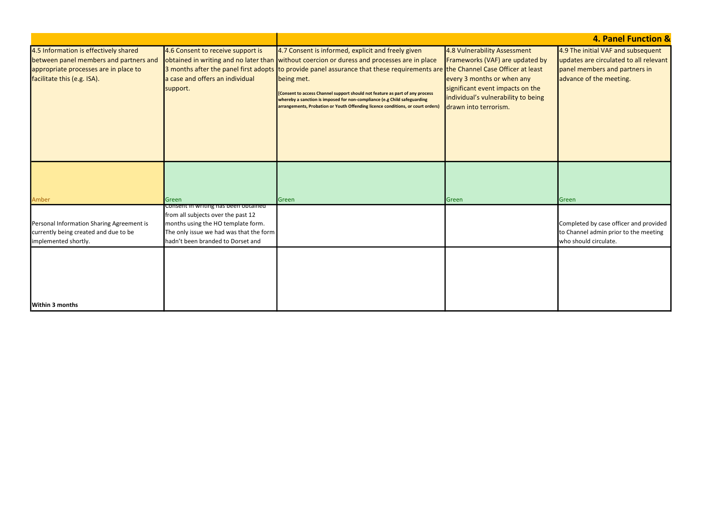|    | <b>4. Panel Function &amp;</b>                                                                                                           |
|----|------------------------------------------------------------------------------------------------------------------------------------------|
| ĵу | 4.9 The initial VAF and subsequent<br>updates are circulated to all relevant<br>panel members and partners in<br>advance of the meeting. |
| 3  |                                                                                                                                          |
|    |                                                                                                                                          |
|    | Green                                                                                                                                    |
|    | Completed by case officer and provided<br>to Channel admin prior to the meeting<br>who should circulate.                                 |
|    |                                                                                                                                          |
|    |                                                                                                                                          |

| 4.5 Information is effectively shared<br>between panel members and partners and<br>appropriate processes are in place to<br>facilitate this (e.g. ISA). | 4.6 Consent to receive support is<br>a case and offers an individual<br>support.                                                                                                                 | 4.7 Consent is informed, explicit and freely given<br>obtained in writing and no later than without coercion or duress and processes are in place<br>3 months after the panel first adopts to provide panel assurance that these requirements are the Channel Case Officer at least<br>being met.<br>[Consent to access Channel support should not feature as part of any process<br>whereby a sanction is imposed for non-compliance (e.g Child safeguarding<br>arrangements, Probation or Youth Offending licence conditions, or court orders) | 4.8 Vulnerability Assessment<br>Frameworks (VAF) are updated by<br>every 3 months or when any<br>significant event impacts on the<br>individual's vulnerability to being<br>drawn into terrorism. | 4.9 Th<br>updat<br>panel<br>advan |
|---------------------------------------------------------------------------------------------------------------------------------------------------------|--------------------------------------------------------------------------------------------------------------------------------------------------------------------------------------------------|--------------------------------------------------------------------------------------------------------------------------------------------------------------------------------------------------------------------------------------------------------------------------------------------------------------------------------------------------------------------------------------------------------------------------------------------------------------------------------------------------------------------------------------------------|---------------------------------------------------------------------------------------------------------------------------------------------------------------------------------------------------|-----------------------------------|
| Amber                                                                                                                                                   | Green                                                                                                                                                                                            | Green                                                                                                                                                                                                                                                                                                                                                                                                                                                                                                                                            | Green                                                                                                                                                                                             | Green                             |
| Personal Information Sharing Agreement is<br>currently being created and due to be<br>implemented shortly.                                              | Consent in writing has been obtained<br>from all subjects over the past 12<br>months using the HO template form.<br>The only issue we had was that the form<br>hadn't been branded to Dorset and |                                                                                                                                                                                                                                                                                                                                                                                                                                                                                                                                                  |                                                                                                                                                                                                   | Compl<br>to Cha<br>who sl         |
| Within 3 months                                                                                                                                         |                                                                                                                                                                                                  |                                                                                                                                                                                                                                                                                                                                                                                                                                                                                                                                                  |                                                                                                                                                                                                   |                                   |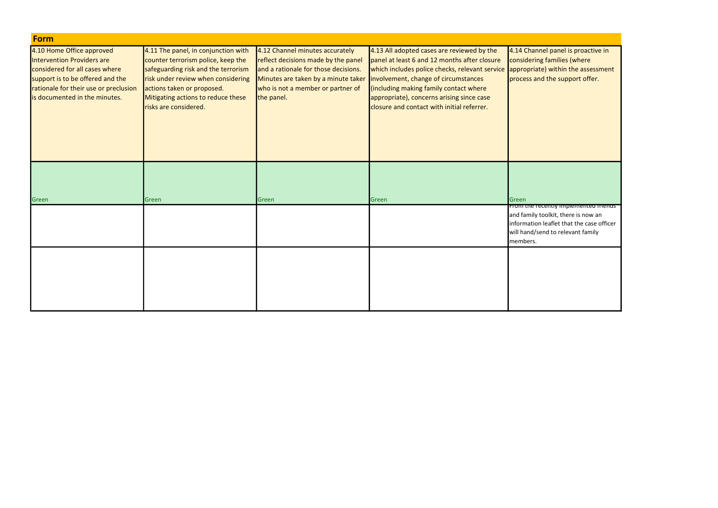| <b>Form</b>                           |                                     |                                      |                                                |                                 |
|---------------------------------------|-------------------------------------|--------------------------------------|------------------------------------------------|---------------------------------|
| 4.10 Home Office approved             | 4.11 The panel, in conjunction with | 4.12 Channel minutes accurately      | 4.13 All adopted cases are reviewed by the     | 4.14 Chann                      |
| Intervention Providers are            | counter terrorism police, keep the  | reflect decisions made by the panel  | panel at least 6 and 12 months after closure   | considering                     |
| considered for all cases where        | safeguarding risk and the terrorism | and a rationale for those decisions. | which includes police checks, relevant service | appropriat                      |
| support is to be offered and the      | risk under review when considering  | Minutes are taken by a minute taker  | involvement, change of circumstances           | process and                     |
| rationale for their use or preclusion | actions taken or proposed.          | who is not a member or partner of    | (including making family contact where         |                                 |
| is documented in the minutes.         | Mitigating actions to reduce these  | the panel.                           | appropriate), concerns arising since case      |                                 |
|                                       | risks are considered.               |                                      | closure and contact with initial referrer.     |                                 |
|                                       |                                     |                                      |                                                |                                 |
|                                       |                                     |                                      |                                                |                                 |
|                                       |                                     |                                      |                                                |                                 |
|                                       |                                     |                                      |                                                |                                 |
|                                       |                                     |                                      |                                                |                                 |
|                                       |                                     |                                      |                                                |                                 |
|                                       |                                     |                                      |                                                |                                 |
|                                       |                                     |                                      |                                                |                                 |
| Green                                 | Green                               | Green                                | Green                                          | Green<br><del>From the re</del> |
|                                       |                                     |                                      |                                                | and family t                    |
|                                       |                                     |                                      |                                                | information                     |
|                                       |                                     |                                      |                                                | will hand/se                    |
|                                       |                                     |                                      |                                                | members.                        |
|                                       |                                     |                                      |                                                |                                 |
|                                       |                                     |                                      |                                                |                                 |
|                                       |                                     |                                      |                                                |                                 |
|                                       |                                     |                                      |                                                |                                 |
|                                       |                                     |                                      |                                                |                                 |
|                                       |                                     |                                      |                                                |                                 |
|                                       |                                     |                                      |                                                |                                 |

nel panel is proactive in g families (where Le) within the assessment nd the support offer.

# ecently implemented friends <sup>-</sup>

toolkit, there is now an n leaflet that the case officer end to relevant family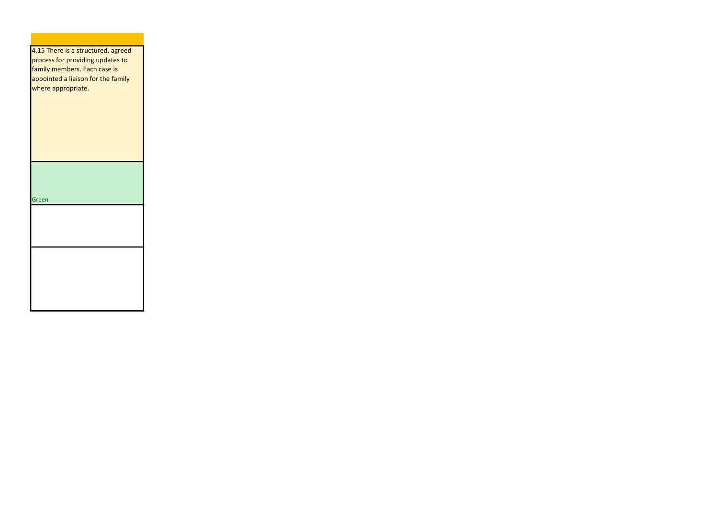| 4.15 There is a structured, agreed |
|------------------------------------|
| process for providing updates to   |
| family members. Each case is       |
| appointed a liaison for the family |
| where appropriate.                 |
|                                    |
|                                    |
|                                    |
|                                    |
|                                    |
|                                    |
|                                    |
|                                    |
|                                    |
|                                    |
|                                    |
| Green                              |
|                                    |
|                                    |
|                                    |
|                                    |
|                                    |
|                                    |
|                                    |
|                                    |
|                                    |
|                                    |
|                                    |
|                                    |
|                                    |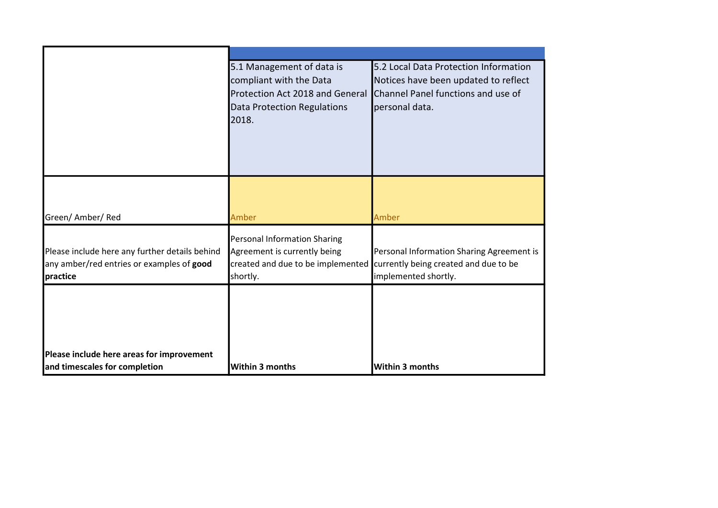|                                                                                                         | 5.1 Management of data is<br>compliant with the Data<br>Protection Act 2018 and General<br>Data Protection Regulations<br>2018. | 5.2 Local Data Protection Information<br>Notices have been updated to reflect<br>Channel Panel functions and use of<br>personal data. |
|---------------------------------------------------------------------------------------------------------|---------------------------------------------------------------------------------------------------------------------------------|---------------------------------------------------------------------------------------------------------------------------------------|
| Green/ Amber/ Red                                                                                       | Amber                                                                                                                           | Amber                                                                                                                                 |
| Please include here any further details behind<br>any amber/red entries or examples of good<br>practice | Personal Information Sharing<br>Agreement is currently being<br>created and due to be implemented<br>shortly.                   | Personal Information Sharing Agreement is<br>currently being created and due to be<br>implemented shortly.                            |
| Please include here areas for improvement<br>and timescales for completion                              | <b>Within 3 months</b>                                                                                                          | <b>Within 3 months</b>                                                                                                                |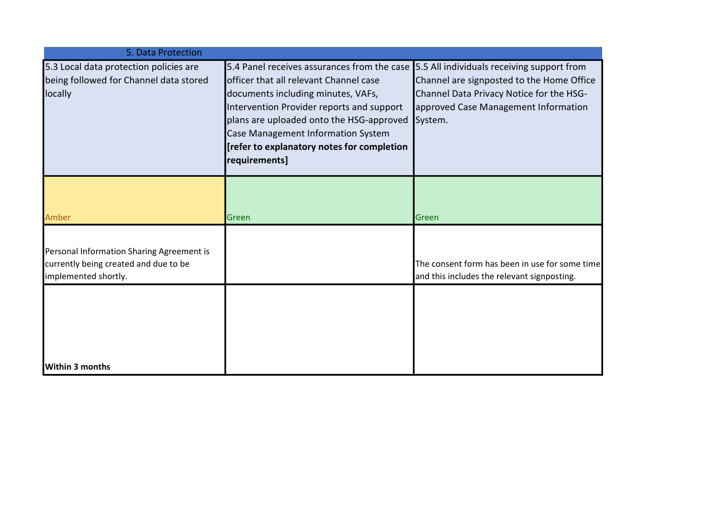| 5. Data Protection                                                                                         |                                                                                                                                                                                                                                                                                                                           |                                                                                                                                                                                        |
|------------------------------------------------------------------------------------------------------------|---------------------------------------------------------------------------------------------------------------------------------------------------------------------------------------------------------------------------------------------------------------------------------------------------------------------------|----------------------------------------------------------------------------------------------------------------------------------------------------------------------------------------|
| 5.3 Local data protection policies are<br>being followed for Channel data stored<br>locally                | 5.4 Panel receives assurances from the case<br>officer that all relevant Channel case<br>documents including minutes, VAFs,<br>Intervention Provider reports and support<br>plans are uploaded onto the HSG-approved<br>Case Management Information System<br>[refer to explanatory notes for completion<br>requirements] | 5.5 All individuals receiving support from<br>Channel are signposted to the Home Office<br>Channel Data Privacy Notice for the HSG-<br>approved Case Management Information<br>System. |
| Amber                                                                                                      | Green                                                                                                                                                                                                                                                                                                                     | Green                                                                                                                                                                                  |
| Personal Information Sharing Agreement is<br>currently being created and due to be<br>implemented shortly. |                                                                                                                                                                                                                                                                                                                           | The consent form has been in use for some time<br>and this includes the relevant signposting.                                                                                          |
| <b>Within 3 months</b>                                                                                     |                                                                                                                                                                                                                                                                                                                           |                                                                                                                                                                                        |